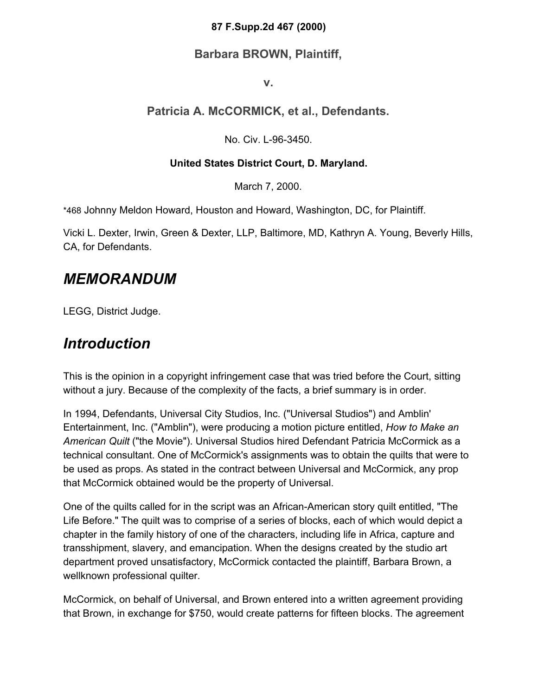#### **87 F.Supp.2d 467 (2000)**

#### **Barbara BROWN, Plaintiff,**

**v.**

#### **Patricia A. McCORMICK, et al., Defendants.**

No. Civ. L-96-3450.

#### **United States District Court, D. Maryland.**

March 7, 2000.

\*468 Johnny Meldon Howard, Houston and Howard, Washington, DC, for Plaintiff.

Vicki L. Dexter, Irwin, Green & Dexter, LLP, Baltimore, MD, Kathryn A. Young, Beverly Hills, CA, for Defendants.

### *MEMORANDUM*

LEGG, District Judge.

### *Introduction*

This is the opinion in a copyright infringement case that was tried before the Court, sitting without a jury. Because of the complexity of the facts, a brief summary is in order.

In 1994, Defendants, Universal City Studios, Inc. ("Universal Studios") and Amblin' Entertainment, Inc. ("Amblin"), were producing a motion picture entitled, *How to Make an American Quilt* ("the Movie"). Universal Studios hired Defendant Patricia McCormick as a technical consultant. One of McCormick's assignments was to obtain the quilts that were to be used as props. As stated in the contract between Universal and McCormick, any prop that McCormick obtained would be the property of Universal.

One of the quilts called for in the script was an African-American story quilt entitled, "The Life Before." The quilt was to comprise of a series of blocks, each of which would depict a chapter in the family history of one of the characters, including life in Africa, capture and transshipment, slavery, and emancipation. When the designs created by the studio art department proved unsatisfactory, McCormick contacted the plaintiff, Barbara Brown, a wellknown professional quilter.

McCormick, on behalf of Universal, and Brown entered into a written agreement providing that Brown, in exchange for \$750, would create patterns for fifteen blocks. The agreement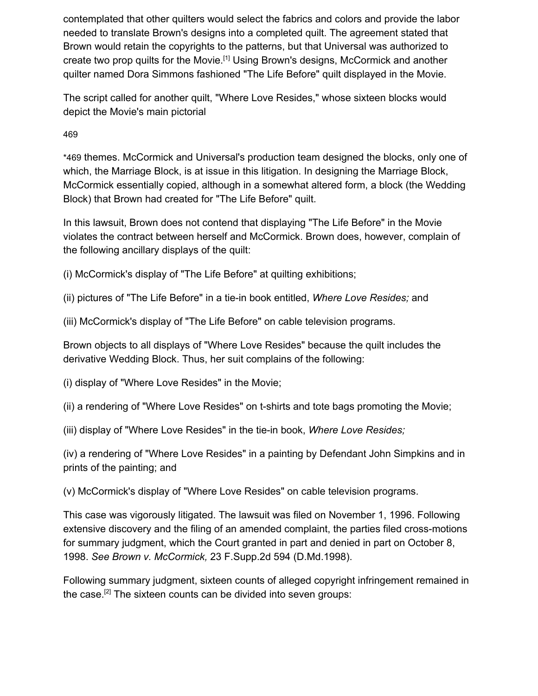contemplated that other quilters would select the fabrics and colors and provide the labor needed to translate Brown's designs into a completed quilt. The agreement stated that Brown would retain the copyrights to the patterns, but that Universal was authorized to create two prop quilts for the Movie.<sup>[1]</sup> Using Brown's designs, McCormick and another quilter named Dora Simmons fashioned "The Life Before" quilt displayed in the Movie.

The script called for another quilt, "Where Love Resides," whose sixteen blocks would depict the Movie's main pictorial

46[9](https://scholar.google.com/scholar_case?case=11449338073438305495&q=amblin&hl=en&as_sdt=6,33#p469)

\*469 themes. McCormick and Universal's production team designed the blocks, only one of which, the Marriage Block, is at issue in this litigation. In designing the Marriage Block, McCormick essentially copied, although in a somewhat altered form, a block (the Wedding Block) that Brown had created for "The Life Before" quilt.

In this lawsuit, Brown does not contend that displaying "The Life Before" in the Movie violates the contract between herself and McCormick. Brown does, however, complain of the following ancillary displays of the quilt:

(i) McCormick's display of "The Life Before" at quilting exhibitions;

(ii) pictures of "The Life Before" in a tie-in book entitled, *Where Love Resides;* and

(iii) McCormick's display of "The Life Before" on cable television programs.

Brown objects to all displays of "Where Love Resides" because the quilt includes the derivative Wedding Block. Thus, her suit complains of the following:

(i) display of "Where Love Resides" in the Movie;

(ii) a rendering of "Where Love Resides" on t-shirts and tote bags promoting the Movie;

(iii) display of "Where Love Resides" in the tie-in book, *Where Love Resides;*

(iv) a rendering of "Where Love Resides" in a painting by Defendant John Simpkins and in prints of the painting; and

(v) McCormick's display of "Where Love Resides" on cable television programs.

This case was vigorously litigated. The lawsuit was filed on November 1, 1996. Following extensive discovery and the filing of an amended complaint, the parties filed cross-motions for summary judgment, which the Court granted in part and denied in part on October 8, 1998. *See Brown v. McCormick,* 23 F.Supp.2d 594 (D.Md.1998).

Following summary judgment, sixteen counts of alleged copyright infringement remained in the case.<sup>[2]</sup> The sixteen counts can be divided into seven groups: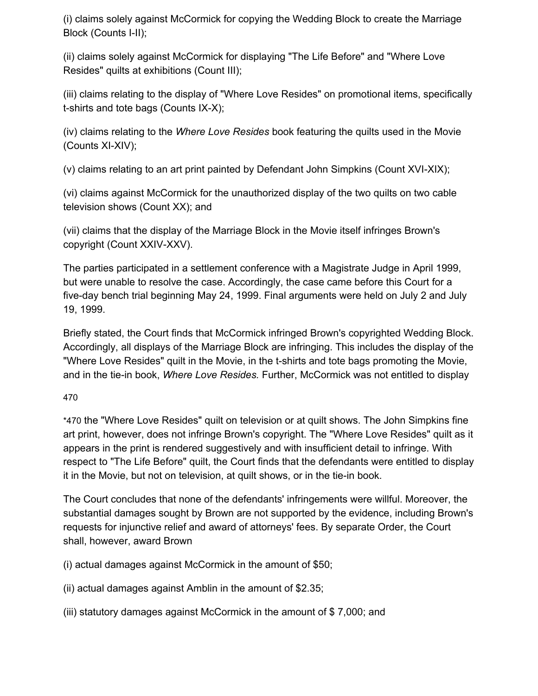(i) claims solely against McCormick for copying the Wedding Block to create the Marriage Block (Counts I-II);

(ii) claims solely against McCormick for displaying "The Life Before" and "Where Love Resides" quilts at exhibitions (Count III);

(iii) claims relating to the display of "Where Love Resides" on promotional items, specifically t-shirts and tote bags (Counts IX-X);

(iv) claims relating to the *Where Love Resides* book featuring the quilts used in the Movie (Counts XI-XIV);

(v) claims relating to an art print painted by Defendant John Simpkins (Count XVI-XIX);

(vi) claims against McCormick for the unauthorized display of the two quilts on two cable television shows (Count XX); and

(vii) claims that the display of the Marriage Block in the Movie itself infringes Brown's copyright (Count XXIV-XXV).

The parties participated in a settlement conference with a Magistrate Judge in April 1999, but were unable to resolve the case. Accordingly, the case came before this Court for a five-day bench trial beginning May 24, 1999. Final arguments were held on July 2 and July 19, 1999.

Briefly stated, the Court finds that McCormick infringed Brown's copyrighted Wedding Block. Accordingly, all displays of the Marriage Block are infringing. This includes the display of the "Where Love Resides" quilt in the Movie, in the t-shirts and tote bags promoting the Movie, and in the tie-in book, *Where Love Resides.* Further, McCormick was not entitled to display

#### 47[0](https://scholar.google.com/scholar_case?case=11449338073438305495&q=amblin&hl=en&as_sdt=6,33#p470)

\*470 the "Where Love Resides" quilt on television or at quilt shows. The John Simpkins fine art print, however, does not infringe Brown's copyright. The "Where Love Resides" quilt as it appears in the print is rendered suggestively and with insufficient detail to infringe. With respect to "The Life Before" quilt, the Court finds that the defendants were entitled to display it in the Movie, but not on television, at quilt shows, or in the tie-in book.

The Court concludes that none of the defendants' infringements were willful. Moreover, the substantial damages sought by Brown are not supported by the evidence, including Brown's requests for injunctive relief and award of attorneys' fees. By separate Order, the Court shall, however, award Brown

(i) actual damages against McCormick in the amount of \$50;

(ii) actual damages against Amblin in the amount of \$2.35;

(iii) statutory damages against McCormick in the amount of \$ 7,000; and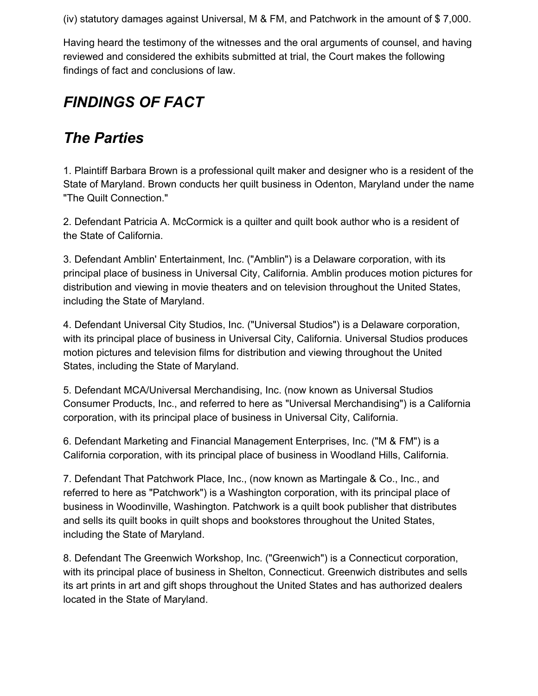(iv) statutory damages against Universal, M & FM, and Patchwork in the amount of \$ 7,000.

Having heard the testimony of the witnesses and the oral arguments of counsel, and having reviewed and considered the exhibits submitted at trial, the Court makes the following findings of fact and conclusions of law.

## *FINDINGS OF FACT*

### *The Parties*

1. Plaintiff Barbara Brown is a professional quilt maker and designer who is a resident of the State of Maryland. Brown conducts her quilt business in Odenton, Maryland under the name "The Quilt Connection."

2. Defendant Patricia A. McCormick is a quilter and quilt book author who is a resident of the State of California.

3. Defendant Amblin' Entertainment, Inc. ("Amblin") is a Delaware corporation, with its principal place of business in Universal City, California. Amblin produces motion pictures for distribution and viewing in movie theaters and on television throughout the United States, including the State of Maryland.

4. Defendant Universal City Studios, Inc. ("Universal Studios") is a Delaware corporation, with its principal place of business in Universal City, California. Universal Studios produces motion pictures and television films for distribution and viewing throughout the United States, including the State of Maryland.

5. Defendant MCA/Universal Merchandising, Inc. (now known as Universal Studios Consumer Products, Inc., and referred to here as "Universal Merchandising") is a California corporation, with its principal place of business in Universal City, California.

6. Defendant Marketing and Financial Management Enterprises, Inc. ("M & FM") is a California corporation, with its principal place of business in Woodland Hills, California.

7. Defendant That Patchwork Place, Inc., (now known as Martingale & Co., Inc., and referred to here as "Patchwork") is a Washington corporation, with its principal place of business in Woodinville, Washington. Patchwork is a quilt book publisher that distributes and sells its quilt books in quilt shops and bookstores throughout the United States, including the State of Maryland.

8. Defendant The Greenwich Workshop, Inc. ("Greenwich") is a Connecticut corporation, with its principal place of business in Shelton, Connecticut. Greenwich distributes and sells its art prints in art and gift shops throughout the United States and has authorized dealers located in the State of Maryland.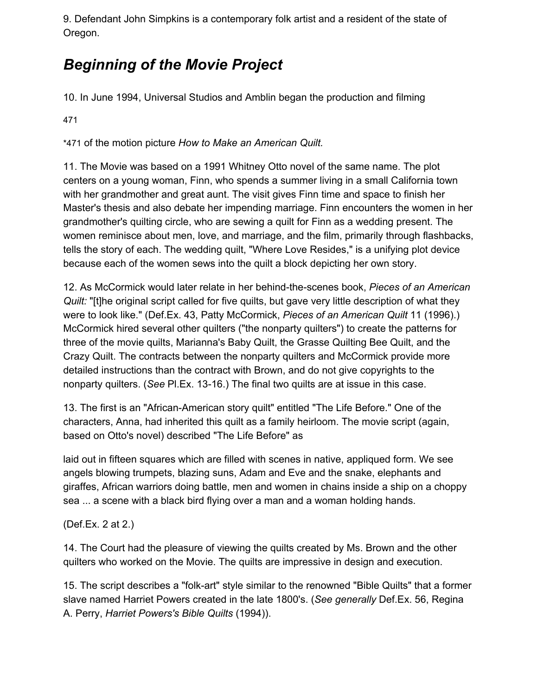9. Defendant John Simpkins is a contemporary folk artist and a resident of the state of Oregon.

## *Beginning of the Movie Project*

10. In June 1994, Universal Studios and Amblin began the production and filming

47[1](https://scholar.google.com/scholar_case?case=11449338073438305495&q=amblin&hl=en&as_sdt=6,33#p471)

\*471 of the motion picture *How to Make an American Quilt.*

11. The Movie was based on a 1991 Whitney Otto novel of the same name. The plot centers on a young woman, Finn, who spends a summer living in a small California town with her grandmother and great aunt. The visit gives Finn time and space to finish her Master's thesis and also debate her impending marriage. Finn encounters the women in her grandmother's quilting circle, who are sewing a quilt for Finn as a wedding present. The women reminisce about men, love, and marriage, and the film, primarily through flashbacks, tells the story of each. The wedding quilt, "Where Love Resides," is a unifying plot device because each of the women sews into the quilt a block depicting her own story.

12. As McCormick would later relate in her behind-the-scenes book, *Pieces of an American Quilt:* "[t]he original script called for five quilts, but gave very little description of what they were to look like." (Def.Ex. 43, Patty McCormick, *Pieces of an American Quilt* 11 (1996).) McCormick hired several other quilters ("the nonparty quilters") to create the patterns for three of the movie quilts, Marianna's Baby Quilt, the Grasse Quilting Bee Quilt, and the Crazy Quilt. The contracts between the nonparty quilters and McCormick provide more detailed instructions than the contract with Brown, and do not give copyrights to the nonparty quilters. (*See* Pl.Ex. 13-16.) The final two quilts are at issue in this case.

13. The first is an "African-American story quilt" entitled "The Life Before." One of the characters, Anna, had inherited this quilt as a family heirloom. The movie script (again, based on Otto's novel) described "The Life Before" as

laid out in fifteen squares which are filled with scenes in native, appliqued form. We see angels blowing trumpets, blazing suns, Adam and Eve and the snake, elephants and giraffes, African warriors doing battle, men and women in chains inside a ship on a choppy sea ... a scene with a black bird flying over a man and a woman holding hands.

(Def.Ex. 2 at 2.)

14. The Court had the pleasure of viewing the quilts created by Ms. Brown and the other quilters who worked on the Movie. The quilts are impressive in design and execution.

15. The script describes a "folk-art" style similar to the renowned "Bible Quilts" that a former slave named Harriet Powers created in the late 1800's. (*See generally* Def.Ex. 56, Regina A. Perry, *Harriet Powers's Bible Quilts* (1994)).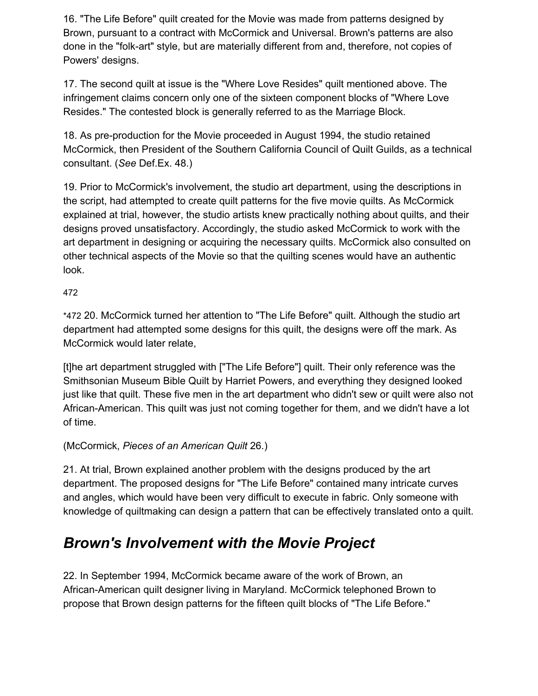16. "The Life Before" quilt created for the Movie was made from patterns designed by Brown, pursuant to a contract with McCormick and Universal. Brown's patterns are also done in the "folk-art" style, but are materially different from and, therefore, not copies of Powers' designs.

17. The second quilt at issue is the "Where Love Resides" quilt mentioned above. The infringement claims concern only one of the sixteen component blocks of "Where Love Resides." The contested block is generally referred to as the Marriage Block.

18. As pre-production for the Movie proceeded in August 1994, the studio retained McCormick, then President of the Southern California Council of Quilt Guilds, as a technical consultant. (*See* Def.Ex. 48.)

19. Prior to McCormick's involvement, the studio art department, using the descriptions in the script, had attempted to create quilt patterns for the five movie quilts. As McCormick explained at trial, however, the studio artists knew practically nothing about quilts, and their designs proved unsatisfactory. Accordingly, the studio asked McCormick to work with the art department in designing or acquiring the necessary quilts. McCormick also consulted on other technical aspects of the Movie so that the quilting scenes would have an authentic look.

47[2](https://scholar.google.com/scholar_case?case=11449338073438305495&q=amblin&hl=en&as_sdt=6,33#p472)

\*472 20. McCormick turned her attention to "The Life Before" quilt. Although the studio art department had attempted some designs for this quilt, the designs were off the mark. As McCormick would later relate,

[t]he art department struggled with ["The Life Before"] quilt. Their only reference was the Smithsonian Museum Bible Quilt by Harriet Powers, and everything they designed looked just like that quilt. These five men in the art department who didn't sew or quilt were also not African-American. This quilt was just not coming together for them, and we didn't have a lot of time.

#### (McCormick, *Pieces of an American Quilt* 26.)

21. At trial, Brown explained another problem with the designs produced by the art department. The proposed designs for "The Life Before" contained many intricate curves and angles, which would have been very difficult to execute in fabric. Only someone with knowledge of quiltmaking can design a pattern that can be effectively translated onto a quilt.

### *Brown's Involvement with the Movie Project*

22. In September 1994, McCormick became aware of the work of Brown, an African-American quilt designer living in Maryland. McCormick telephoned Brown to propose that Brown design patterns for the fifteen quilt blocks of "The Life Before."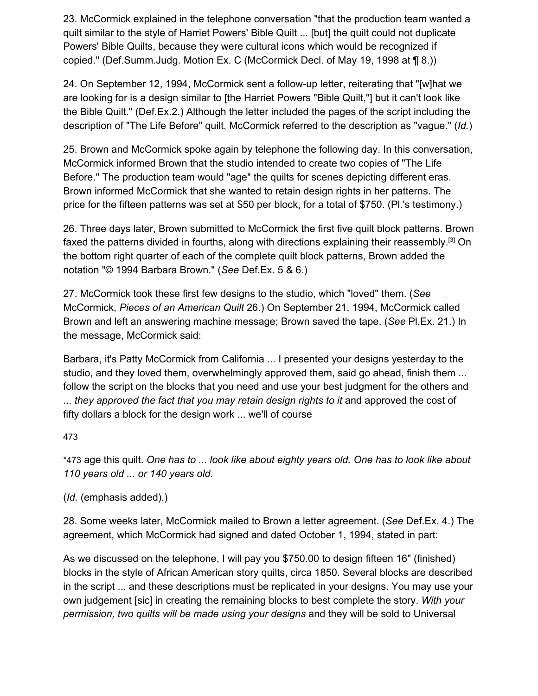23. McCormick explained in the telephone conversation "that the production team wanted a quilt similar to the style of Harriet Powers' Bible Quilt ... [but] the quilt could not duplicate Powers' Bible Quilts, because they were cultural icons which would be recognized if copied." (Def.Summ.Judg. Motion Ex. C (McCormick Decl. of May 19, 1998 at ¶ 8.))

24. On September 12, 1994, McCormick sent a follow-up letter, reiterating that "[w]hat we are looking for is a design similar to [the Harriet Powers "Bible Quilt,"] but it can't look like the Bible Quilt." (Def.Ex.2.) Although the letter included the pages of the script including the description of "The Life Before" quilt, McCormick referred to the description as "vague." (*Id.*)

25. Brown and McCormick spoke again by telephone the following day. In this conversation, McCormick informed Brown that the studio intended to create two copies of "The Life Before." The production team would "age" the quilts for scenes depicting different eras. Brown informed McCormick that she wanted to retain design rights in her patterns. The price for the fifteen patterns was set at \$50 per block, for a total of \$750. (Pl.'s testimony.)

26. Three days later, Brown submitted to McCormick the first five quilt block patterns. Brown faxed the patterns divided in fourths, along with directions explaining their reassembly.<sup>[3]</sup> On the bottom right quarter of each of the complete quilt block patterns, Brown added the notation "© 1994 Barbara Brown." (*See* Def.Ex. 5 & 6.)

27. McCormick took these first few designs to the studio, which "loved" them. (*See* McCormick, *Pieces of an American Quilt* 26.) On September 21, 1994, McCormick called Brown and left an answering machine message; Brown saved the tape. (*See* Pl.Ex. 21.) In the message, McCormick said:

Barbara, it's Patty McCormick from California ... I presented your designs yesterday to the studio, and they loved them, overwhelmingly approved them, said go ahead, finish them ... follow the script on the blocks that you need and use your best judgment for the others and ... *they approved the fact that you may retain design rights to it* and approved the cost of fifty dollars a block for the design work ... we'll of course

47[3](https://scholar.google.com/scholar_case?case=11449338073438305495&q=amblin&hl=en&as_sdt=6,33#p473)

\*473 age this quilt. *One has to ... look like about eighty years old. One has to look like about 110 years old ... or 140 years old.*

(*Id.* (emphasis added).)

28. Some weeks later, McCormick mailed to Brown a letter agreement. (*See* Def.Ex. 4.) The agreement, which McCormick had signed and dated October 1, 1994, stated in part:

As we discussed on the telephone, I will pay you \$750.00 to design fifteen 16" (finished) blocks in the style of African American story quilts, circa 1850. Several blocks are described in the script ... and these descriptions must be replicated in your designs. You may use your own judgement [sic] in creating the remaining blocks to best complete the story. *With your permission, two quilts will be made using your designs* and they will be sold to Universal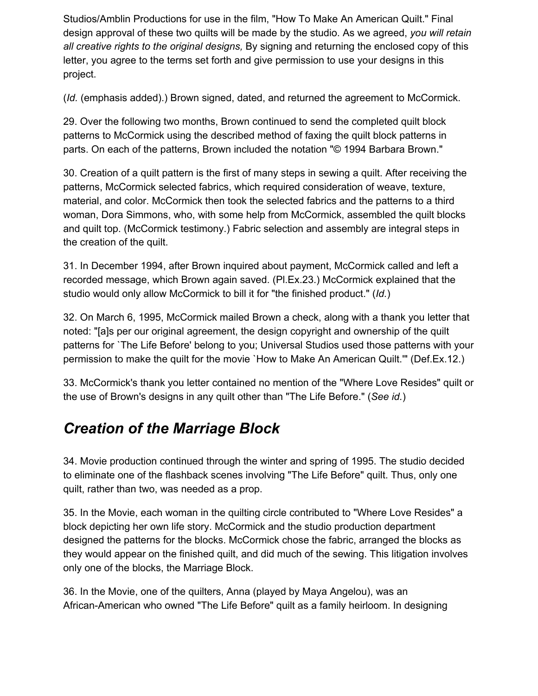Studios/Amblin Productions for use in the film, "How To Make An American Quilt." Final design approval of these two quilts will be made by the studio. As we agreed, *you will retain all creative rights to the original designs,* By signing and returning the enclosed copy of this letter, you agree to the terms set forth and give permission to use your designs in this project.

(*Id.* (emphasis added).) Brown signed, dated, and returned the agreement to McCormick.

29. Over the following two months, Brown continued to send the completed quilt block patterns to McCormick using the described method of faxing the quilt block patterns in parts. On each of the patterns, Brown included the notation "© 1994 Barbara Brown."

30. Creation of a quilt pattern is the first of many steps in sewing a quilt. After receiving the patterns, McCormick selected fabrics, which required consideration of weave, texture, material, and color. McCormick then took the selected fabrics and the patterns to a third woman, Dora Simmons, who, with some help from McCormick, assembled the quilt blocks and quilt top. (McCormick testimony.) Fabric selection and assembly are integral steps in the creation of the quilt.

31. In December 1994, after Brown inquired about payment, McCormick called and left a recorded message, which Brown again saved. (Pl.Ex.23.) McCormick explained that the studio would only allow McCormick to bill it for "the finished product." (*Id.*)

32. On March 6, 1995, McCormick mailed Brown a check, along with a thank you letter that noted: "[a]s per our original agreement, the design copyright and ownership of the quilt patterns for `The Life Before' belong to you; Universal Studios used those patterns with your permission to make the quilt for the movie `How to Make An American Quilt.'" (Def.Ex.12.)

33. McCormick's thank you letter contained no mention of the "Where Love Resides" quilt or the use of Brown's designs in any quilt other than "The Life Before." (*See id.*)

### *Creation of the Marriage Block*

34. Movie production continued through the winter and spring of 1995. The studio decided to eliminate one of the flashback scenes involving "The Life Before" quilt. Thus, only one quilt, rather than two, was needed as a prop.

35. In the Movie, each woman in the quilting circle contributed to "Where Love Resides" a block depicting her own life story. McCormick and the studio production department designed the patterns for the blocks. McCormick chose the fabric, arranged the blocks as they would appear on the finished quilt, and did much of the sewing. This litigation involves only one of the blocks, the Marriage Block.

36. In the Movie, one of the quilters, Anna (played by Maya Angelou), was an African-American who owned "The Life Before" quilt as a family heirloom. In designing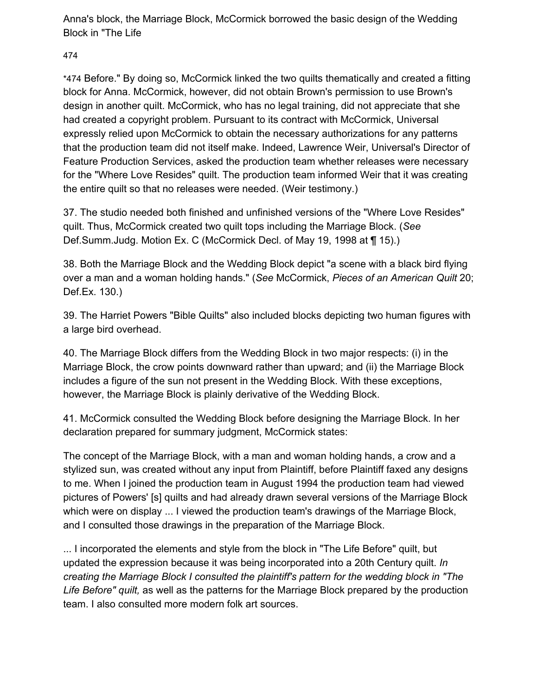Anna's block, the Marriage Block, McCormick borrowed the basic design of the Wedding Block in "The Life

47[4](https://scholar.google.com/scholar_case?case=11449338073438305495&q=amblin&hl=en&as_sdt=6,33#p474)

\*474 Before." By doing so, McCormick linked the two quilts thematically and created a fitting block for Anna. McCormick, however, did not obtain Brown's permission to use Brown's design in another quilt. McCormick, who has no legal training, did not appreciate that she had created a copyright problem. Pursuant to its contract with McCormick, Universal expressly relied upon McCormick to obtain the necessary authorizations for any patterns that the production team did not itself make. Indeed, Lawrence Weir, Universal's Director of Feature Production Services, asked the production team whether releases were necessary for the "Where Love Resides" quilt. The production team informed Weir that it was creating the entire quilt so that no releases were needed. (Weir testimony.)

37. The studio needed both finished and unfinished versions of the "Where Love Resides" quilt. Thus, McCormick created two quilt tops including the Marriage Block. (*See* Def.Summ.Judg. Motion Ex. C (McCormick Decl. of May 19, 1998 at ¶ 15).)

38. Both the Marriage Block and the Wedding Block depict "a scene with a black bird flying over a man and a woman holding hands." (*See* McCormick, *Pieces of an American Quilt* 20; Def.Ex. 130.)

39. The Harriet Powers "Bible Quilts" also included blocks depicting two human figures with a large bird overhead.

40. The Marriage Block differs from the Wedding Block in two major respects: (i) in the Marriage Block, the crow points downward rather than upward; and (ii) the Marriage Block includes a figure of the sun not present in the Wedding Block. With these exceptions, however, the Marriage Block is plainly derivative of the Wedding Block.

41. McCormick consulted the Wedding Block before designing the Marriage Block. In her declaration prepared for summary judgment, McCormick states:

The concept of the Marriage Block, with a man and woman holding hands, a crow and a stylized sun, was created without any input from Plaintiff, before Plaintiff faxed any designs to me. When I joined the production team in August 1994 the production team had viewed pictures of Powers' [s] quilts and had already drawn several versions of the Marriage Block which were on display ... I viewed the production team's drawings of the Marriage Block, and I consulted those drawings in the preparation of the Marriage Block.

... I incorporated the elements and style from the block in "The Life Before" quilt, but updated the expression because it was being incorporated into a 20th Century quilt. *In creating the Marriage Block I consulted the plaintiff's pattern for the wedding block in "The Life Before" quilt,* as well as the patterns for the Marriage Block prepared by the production team. I also consulted more modern folk art sources.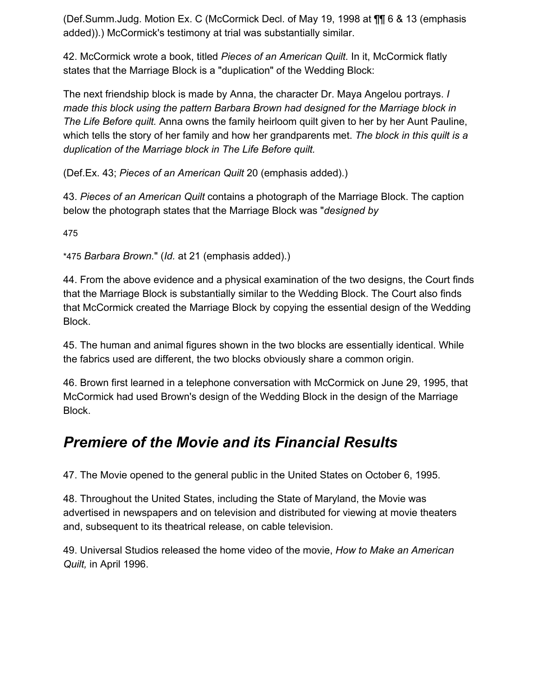(Def.Summ.Judg. Motion Ex. C (McCormick Decl. of May 19, 1998 at ¶¶ 6 & 13 (emphasis added)).) McCormick's testimony at trial was substantially similar.

42. McCormick wrote a book, titled *Pieces of an American Quilt.* In it, McCormick flatly states that the Marriage Block is a "duplication" of the Wedding Block:

The next friendship block is made by Anna, the character Dr. Maya Angelou portrays. *I made this block using the pattern Barbara Brown had designed for the Marriage block in The Life Before quilt.* Anna owns the family heirloom quilt given to her by her Aunt Pauline, which tells the story of her family and how her grandparents met. *The block in this quilt is a duplication of the Marriage block in The Life Before quilt.*

(Def.Ex. 43; *Pieces of an American Quilt* 20 (emphasis added).)

43. *Pieces of an American Quilt* contains a photograph of the Marriage Block. The caption below the photograph states that the Marriage Block was "*designed by*

47[5](https://scholar.google.com/scholar_case?case=11449338073438305495&q=amblin&hl=en&as_sdt=6,33#p475)

\*475 *Barbara Brown.*" (*Id.* at 21 (emphasis added).)

44. From the above evidence and a physical examination of the two designs, the Court finds that the Marriage Block is substantially similar to the Wedding Block. The Court also finds that McCormick created the Marriage Block by copying the essential design of the Wedding Block.

45. The human and animal figures shown in the two blocks are essentially identical. While the fabrics used are different, the two blocks obviously share a common origin.

46. Brown first learned in a telephone conversation with McCormick on June 29, 1995, that McCormick had used Brown's design of the Wedding Block in the design of the Marriage Block.

### *Premiere of the Movie and its Financial Results*

47. The Movie opened to the general public in the United States on October 6, 1995.

48. Throughout the United States, including the State of Maryland, the Movie was advertised in newspapers and on television and distributed for viewing at movie theaters and, subsequent to its theatrical release, on cable television.

49. Universal Studios released the home video of the movie, *How to Make an American Quilt,* in April 1996.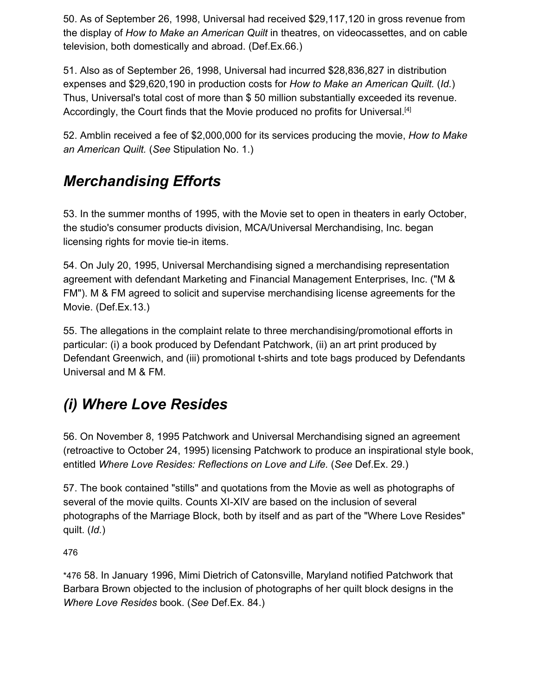50. As of September 26, 1998, Universal had received \$29,117,120 in gross revenue from the display of *How to Make an American Quilt* in theatres, on videocassettes, and on cable television, both domestically and abroad. (Def.Ex.66.)

51. Also as of September 26, 1998, Universal had incurred \$28,836,827 in distribution expenses and \$29,620,190 in production costs for *How to Make an American Quilt.* (*Id.*) Thus, Universal's total cost of more than \$ 50 million substantially exceeded its revenue. Accordingly, the Court finds that the Movie produced no profits for Universal.<sup>[4]</sup>

52. Amblin received a fee of \$2,000,000 for its services producing the movie, *How to Make an American Quilt.* (*See* Stipulation No. 1.)

## *Merchandising Efforts*

53. In the summer months of 1995, with the Movie set to open in theaters in early October, the studio's consumer products division, MCA/Universal Merchandising, Inc. began licensing rights for movie tie-in items.

54. On July 20, 1995, Universal Merchandising signed a merchandising representation agreement with defendant Marketing and Financial Management Enterprises, Inc. ("M & FM"). M & FM agreed to solicit and supervise merchandising license agreements for the Movie. (Def.Ex.13.)

55. The allegations in the complaint relate to three merchandising/promotional efforts in particular: (i) a book produced by Defendant Patchwork, (ii) an art print produced by Defendant Greenwich, and (iii) promotional t-shirts and tote bags produced by Defendants Universal and M & FM.

# *(i) Where Love Resides*

56. On November 8, 1995 Patchwork and Universal Merchandising signed an agreement (retroactive to October 24, 1995) licensing Patchwork to produce an inspirational style book, entitled *Where Love Resides: Reflections on Love and Life.* (*See* Def.Ex. 29.)

57. The book contained "stills" and quotations from the Movie as well as photographs of several of the movie quilts. Counts XI-XIV are based on the inclusion of several photographs of the Marriage Block, both by itself and as part of the "Where Love Resides" quilt. (*Id.*)

47[6](https://scholar.google.com/scholar_case?case=11449338073438305495&q=amblin&hl=en&as_sdt=6,33#p476)

\*476 58. In January 1996, Mimi Dietrich of Catonsville, Maryland notified Patchwork that Barbara Brown objected to the inclusion of photographs of her quilt block designs in the *Where Love Resides* book. (*See* Def.Ex. 84.)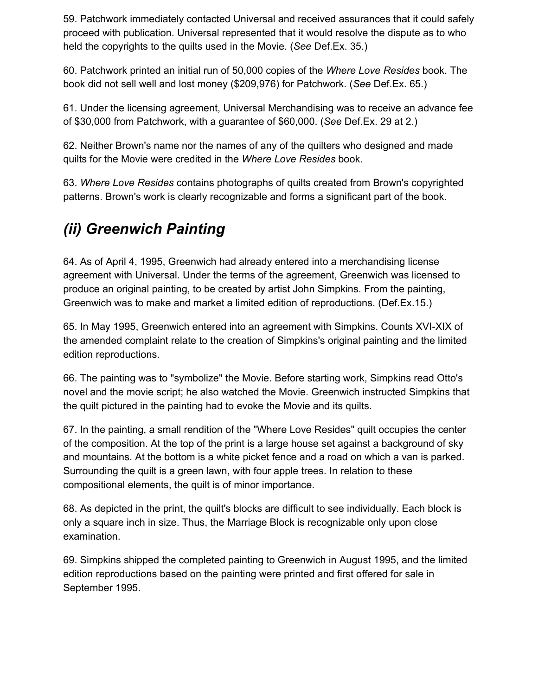59. Patchwork immediately contacted Universal and received assurances that it could safely proceed with publication. Universal represented that it would resolve the dispute as to who held the copyrights to the quilts used in the Movie. (*See* Def.Ex. 35.)

60. Patchwork printed an initial run of 50,000 copies of the *Where Love Resides* book. The book did not sell well and lost money (\$209,976) for Patchwork. (*See* Def.Ex. 65.)

61. Under the licensing agreement, Universal Merchandising was to receive an advance fee of \$30,000 from Patchwork, with a guarantee of \$60,000. (*See* Def.Ex. 29 at 2.)

62. Neither Brown's name nor the names of any of the quilters who designed and made quilts for the Movie were credited in the *Where Love Resides* book.

63. *Where Love Resides* contains photographs of quilts created from Brown's copyrighted patterns. Brown's work is clearly recognizable and forms a significant part of the book.

## *(ii) Greenwich Painting*

64. As of April 4, 1995, Greenwich had already entered into a merchandising license agreement with Universal. Under the terms of the agreement, Greenwich was licensed to produce an original painting, to be created by artist John Simpkins. From the painting, Greenwich was to make and market a limited edition of reproductions. (Def.Ex.15.)

65. In May 1995, Greenwich entered into an agreement with Simpkins. Counts XVI-XIX of the amended complaint relate to the creation of Simpkins's original painting and the limited edition reproductions.

66. The painting was to "symbolize" the Movie. Before starting work, Simpkins read Otto's novel and the movie script; he also watched the Movie. Greenwich instructed Simpkins that the quilt pictured in the painting had to evoke the Movie and its quilts.

67. In the painting, a small rendition of the "Where Love Resides" quilt occupies the center of the composition. At the top of the print is a large house set against a background of sky and mountains. At the bottom is a white picket fence and a road on which a van is parked. Surrounding the quilt is a green lawn, with four apple trees. In relation to these compositional elements, the quilt is of minor importance.

68. As depicted in the print, the quilt's blocks are difficult to see individually. Each block is only a square inch in size. Thus, the Marriage Block is recognizable only upon close examination.

69. Simpkins shipped the completed painting to Greenwich in August 1995, and the limited edition reproductions based on the painting were printed and first offered for sale in September 1995.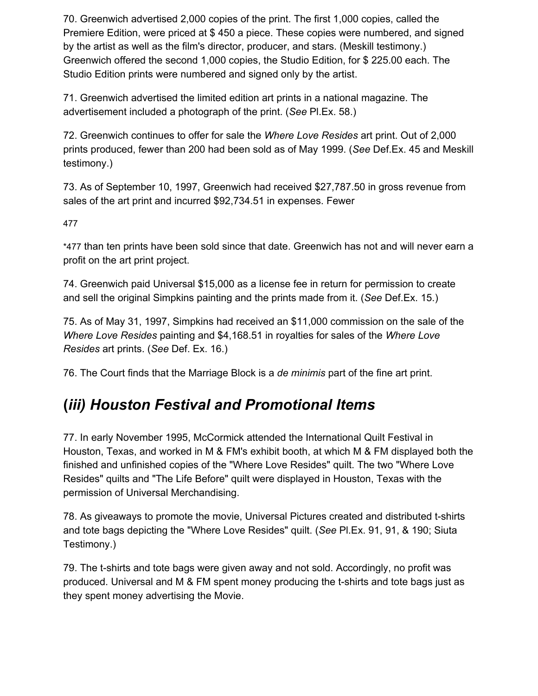70. Greenwich advertised 2,000 copies of the print. The first 1,000 copies, called the Premiere Edition, were priced at \$ 450 a piece. These copies were numbered, and signed by the artist as well as the film's director, producer, and stars. (Meskill testimony.) Greenwich offered the second 1,000 copies, the Studio Edition, for \$ 225.00 each. The Studio Edition prints were numbered and signed only by the artist.

71. Greenwich advertised the limited edition art prints in a national magazine. The advertisement included a photograph of the print. (*See* Pl.Ex. 58.)

72. Greenwich continues to offer for sale the *Where Love Resides* art print. Out of 2,000 prints produced, fewer than 200 had been sold as of May 1999. (*See* Def.Ex. 45 and Meskill testimony.)

73. As of September 10, 1997, Greenwich had received \$27,787.50 in gross revenue from sales of the art print and incurred \$92,734.51 in expenses. Fewer

47[7](https://scholar.google.com/scholar_case?case=11449338073438305495&q=amblin&hl=en&as_sdt=6,33#p477)

\*477 than ten prints have been sold since that date. Greenwich has not and will never earn a profit on the art print project.

74. Greenwich paid Universal \$15,000 as a license fee in return for permission to create and sell the original Simpkins painting and the prints made from it. (*See* Def.Ex. 15.)

75. As of May 31, 1997, Simpkins had received an \$11,000 commission on the sale of the *Where Love Resides* painting and \$4,168.51 in royalties for sales of the *Where Love Resides* art prints. (*See* Def. Ex. 16.)

76. The Court finds that the Marriage Block is a *de minimis* part of the fine art print.

### **(***iii) Houston Festival and Promotional Items*

77. In early November 1995, McCormick attended the International Quilt Festival in Houston, Texas, and worked in M & FM's exhibit booth, at which M & FM displayed both the finished and unfinished copies of the "Where Love Resides" quilt. The two "Where Love Resides" quilts and "The Life Before" quilt were displayed in Houston, Texas with the permission of Universal Merchandising.

78. As giveaways to promote the movie, Universal Pictures created and distributed t-shirts and tote bags depicting the "Where Love Resides" quilt. (*See* Pl.Ex. 91, 91, & 190; Siuta Testimony.)

79. The t-shirts and tote bags were given away and not sold. Accordingly, no profit was produced. Universal and M & FM spent money producing the t-shirts and tote bags just as they spent money advertising the Movie.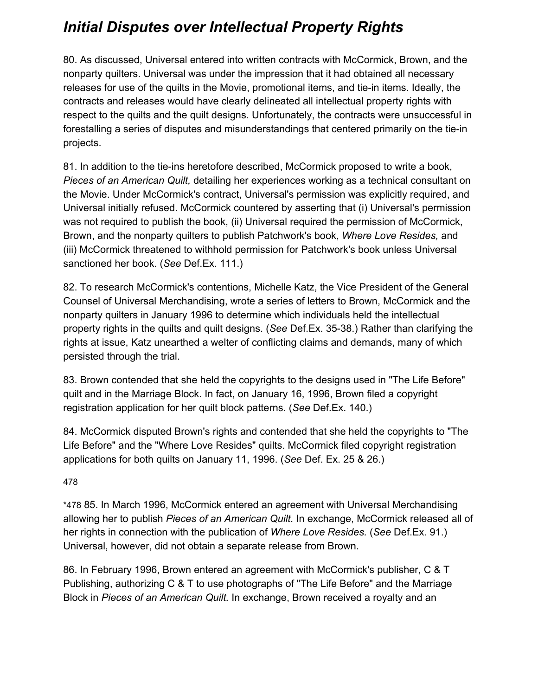## *Initial Disputes over Intellectual Property Rights*

80. As discussed, Universal entered into written contracts with McCormick, Brown, and the nonparty quilters. Universal was under the impression that it had obtained all necessary releases for use of the quilts in the Movie, promotional items, and tie-in items. Ideally, the contracts and releases would have clearly delineated all intellectual property rights with respect to the quilts and the quilt designs. Unfortunately, the contracts were unsuccessful in forestalling a series of disputes and misunderstandings that centered primarily on the tie-in projects.

81. In addition to the tie-ins heretofore described, McCormick proposed to write a book, *Pieces of an American Quilt,* detailing her experiences working as a technical consultant on the Movie. Under McCormick's contract, Universal's permission was explicitly required, and Universal initially refused. McCormick countered by asserting that (i) Universal's permission was not required to publish the book, (ii) Universal required the permission of McCormick, Brown, and the nonparty quilters to publish Patchwork's book, *Where Love Resides,* and (iii) McCormick threatened to withhold permission for Patchwork's book unless Universal sanctioned her book. (*See* Def.Ex. 111.)

82. To research McCormick's contentions, Michelle Katz, the Vice President of the General Counsel of Universal Merchandising, wrote a series of letters to Brown, McCormick and the nonparty quilters in January 1996 to determine which individuals held the intellectual property rights in the quilts and quilt designs. (*See* Def.Ex. 35-38.) Rather than clarifying the rights at issue, Katz unearthed a welter of conflicting claims and demands, many of which persisted through the trial.

83. Brown contended that she held the copyrights to the designs used in "The Life Before" quilt and in the Marriage Block. In fact, on January 16, 1996, Brown filed a copyright registration application for her quilt block patterns. (*See* Def.Ex. 140.)

84. McCormick disputed Brown's rights and contended that she held the copyrights to "The Life Before" and the "Where Love Resides" quilts. McCormick filed copyright registration applications for both quilts on January 11, 1996. (*See* Def. Ex. 25 & 26.)

#### 47[8](https://scholar.google.com/scholar_case?case=11449338073438305495&q=amblin&hl=en&as_sdt=6,33#p478)

\*478 85. In March 1996, McCormick entered an agreement with Universal Merchandising allowing her to publish *Pieces of an American Quilt.* In exchange, McCormick released all of her rights in connection with the publication of *Where Love Resides.* (*See* Def.Ex. 91.) Universal, however, did not obtain a separate release from Brown.

86. In February 1996, Brown entered an agreement with McCormick's publisher, C & T Publishing, authorizing C & T to use photographs of "The Life Before" and the Marriage Block in *Pieces of an American Quilt.* In exchange, Brown received a royalty and an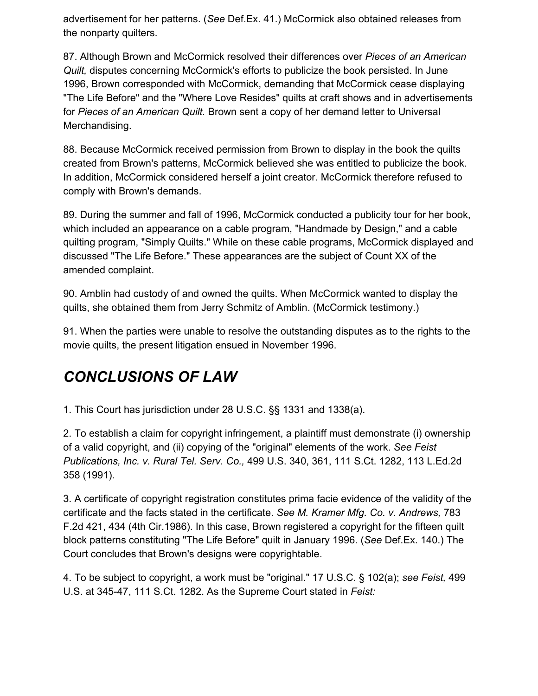advertisement for her patterns. (*See* Def.Ex. 41.) McCormick also obtained releases from the nonparty quilters.

87. Although Brown and McCormick resolved their differences over *Pieces of an American Quilt,* disputes concerning McCormick's efforts to publicize the book persisted. In June 1996, Brown corresponded with McCormick, demanding that McCormick cease displaying "The Life Before" and the "Where Love Resides" quilts at craft shows and in advertisements for *Pieces of an American Quilt.* Brown sent a copy of her demand letter to Universal Merchandising.

88. Because McCormick received permission from Brown to display in the book the quilts created from Brown's patterns, McCormick believed she was entitled to publicize the book. In addition, McCormick considered herself a joint creator. McCormick therefore refused to comply with Brown's demands.

89. During the summer and fall of 1996, McCormick conducted a publicity tour for her book, which included an appearance on a cable program, "Handmade by Design," and a cable quilting program, "Simply Quilts." While on these cable programs, McCormick displayed and discussed "The Life Before." These appearances are the subject of Count XX of the amended complaint.

90. Amblin had custody of and owned the quilts. When McCormick wanted to display the quilts, she obtained them from Jerry Schmitz of Amblin. (McCormick testimony.)

91. When the parties were unable to resolve the outstanding disputes as to the rights to the movie quilts, the present litigation ensued in November 1996.

# *CONCLUSIONS OF LAW*

1. This Court has jurisdiction under 28 U.S.C. §§ 1331 and 1338(a).

2. To establish a claim for copyright infringement, a plaintiff must demonstrate (i) ownership of a valid copyright, and (ii) copying of the "original" elements of the work. *See Feist Publications, Inc. v. Rural Tel. Serv. Co.,* 499 U.S. 340, 361, 111 S.Ct. 1282, 113 L.Ed.2d 358 (1991).

3. A certificate of copyright registration constitutes prima facie evidence of the validity of the certificate and the facts stated in the certificate. *See M. Kramer Mfg. Co. v. Andrews,* 783 F.2d 421, 434 (4th Cir.1986). In this case, Brown registered a copyright for the fifteen quilt block patterns constituting "The Life Before" quilt in January 1996. (*See* Def.Ex. 140.) The Court concludes that Brown's designs were copyrightable.

4. To be subject to copyright, a work must be "original." 17 U.S.C. § 102(a); *see Feist,* 499 U.S. at 345-47, 111 S.Ct. 1282. As the Supreme Court stated in *Feist:*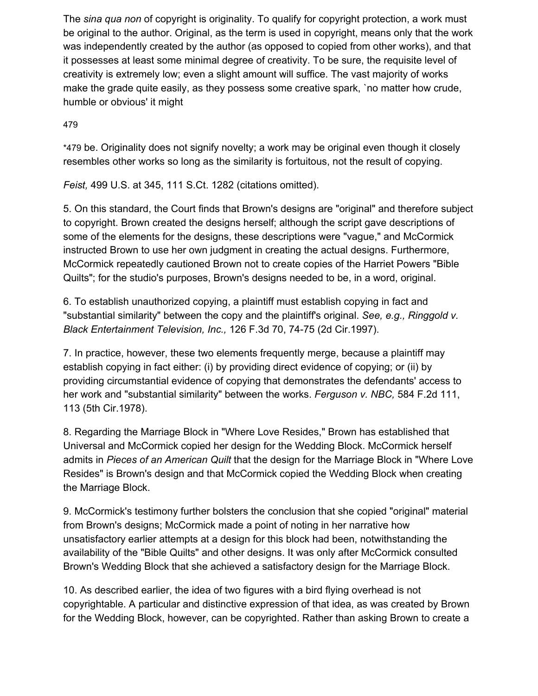The *sina qua non* of copyright is originality. To qualify for copyright protection, a work must be original to the author. Original, as the term is used in copyright, means only that the work was independently created by the author (as opposed to copied from other works), and that it possesses at least some minimal degree of creativity. To be sure, the requisite level of creativity is extremely low; even a slight amount will suffice. The vast majority of works make the grade quite easily, as they possess some creative spark, `no matter how crude, humble or obvious' it might

#### 47[9](https://scholar.google.com/scholar_case?case=11449338073438305495&q=amblin&hl=en&as_sdt=6,33#p479)

\*479 be. Originality does not signify novelty; a work may be original even though it closely resembles other works so long as the similarity is fortuitous, not the result of copying.

*Feist,* 499 U.S. at 345, 111 S.Ct. 1282 (citations omitted).

5. On this standard, the Court finds that Brown's designs are "original" and therefore subject to copyright. Brown created the designs herself; although the script gave descriptions of some of the elements for the designs, these descriptions were "vague," and McCormick instructed Brown to use her own judgment in creating the actual designs. Furthermore, McCormick repeatedly cautioned Brown not to create copies of the Harriet Powers "Bible Quilts"; for the studio's purposes, Brown's designs needed to be, in a word, original.

6. To establish unauthorized copying, a plaintiff must establish copying in fact and "substantial similarity" between the copy and the plaintiff's original. *See, e.g., Ringgold v. Black Entertainment Television, Inc.,* 126 F.3d 70, 74-75 (2d Cir.1997).

7. In practice, however, these two elements frequently merge, because a plaintiff may establish copying in fact either: (i) by providing direct evidence of copying; or (ii) by providing circumstantial evidence of copying that demonstrates the defendants' access to her work and "substantial similarity" between the works. *Ferguson v. NBC,* 584 F.2d 111, 113 (5th Cir.1978).

8. Regarding the Marriage Block in "Where Love Resides," Brown has established that Universal and McCormick copied her design for the Wedding Block. McCormick herself admits in *Pieces of an American Quilt* that the design for the Marriage Block in "Where Love Resides" is Brown's design and that McCormick copied the Wedding Block when creating the Marriage Block.

9. McCormick's testimony further bolsters the conclusion that she copied "original" material from Brown's designs; McCormick made a point of noting in her narrative how unsatisfactory earlier attempts at a design for this block had been, notwithstanding the availability of the "Bible Quilts" and other designs. It was only after McCormick consulted Brown's Wedding Block that she achieved a satisfactory design for the Marriage Block.

10. As described earlier, the idea of two figures with a bird flying overhead is not copyrightable. A particular and distinctive expression of that idea, as was created by Brown for the Wedding Block, however, can be copyrighted. Rather than asking Brown to create a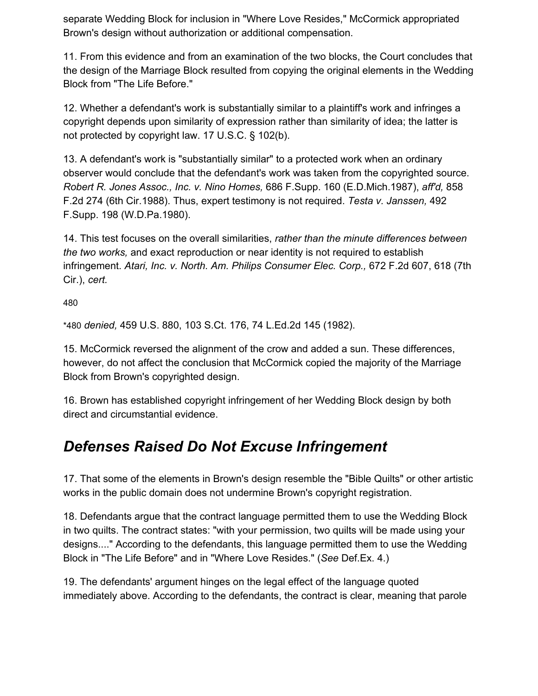separate Wedding Block for inclusion in "Where Love Resides," McCormick appropriated Brown's design without authorization or additional compensation.

11. From this evidence and from an examination of the two blocks, the Court concludes that the design of the Marriage Block resulted from copying the original elements in the Wedding Block from "The Life Before."

12. Whether a defendant's work is substantially similar to a plaintiff's work and infringes a copyright depends upon similarity of expression rather than similarity of idea; the latter is not protected by copyright law. 17 U.S.C. § 102(b).

13. A defendant's work is "substantially similar" to a protected work when an ordinary observer would conclude that the defendant's work was taken from the copyrighted source. *Robert R. Jones Assoc., Inc. v. Nino Homes,* 686 F.Supp. 160 (E.D.Mich.1987), *aff'd,* 858 F.2d 274 (6th Cir.1988). Thus, expert testimony is not required. *Testa v. Janssen,* 492 F.Supp. 198 (W.D.Pa.1980).

14. This test focuses on the overall similarities, *rather than the minute differences between the two works,* and exact reproduction or near identity is not required to establish infringement. *Atari, Inc. v. North. Am. Philips Consumer Elec. Corp.,* 672 F.2d 607, 618 (7th Cir.), *cert.*

48[0](https://scholar.google.com/scholar_case?case=11449338073438305495&q=amblin&hl=en&as_sdt=6,33#p480)

\*480 *denied,* 459 U.S. 880, 103 S.Ct. 176, 74 L.Ed.2d 145 (1982).

15. McCormick reversed the alignment of the crow and added a sun. These differences, however, do not affect the conclusion that McCormick copied the majority of the Marriage Block from Brown's copyrighted design.

16. Brown has established copyright infringement of her Wedding Block design by both direct and circumstantial evidence.

### *Defenses Raised Do Not Excuse Infringement*

17. That some of the elements in Brown's design resemble the "Bible Quilts" or other artistic works in the public domain does not undermine Brown's copyright registration.

18. Defendants argue that the contract language permitted them to use the Wedding Block in two quilts. The contract states: "with your permission, two quilts will be made using your designs...." According to the defendants, this language permitted them to use the Wedding Block in "The Life Before" and in "Where Love Resides." (*See* Def.Ex. 4.)

19. The defendants' argument hinges on the legal effect of the language quoted immediately above. According to the defendants, the contract is clear, meaning that parole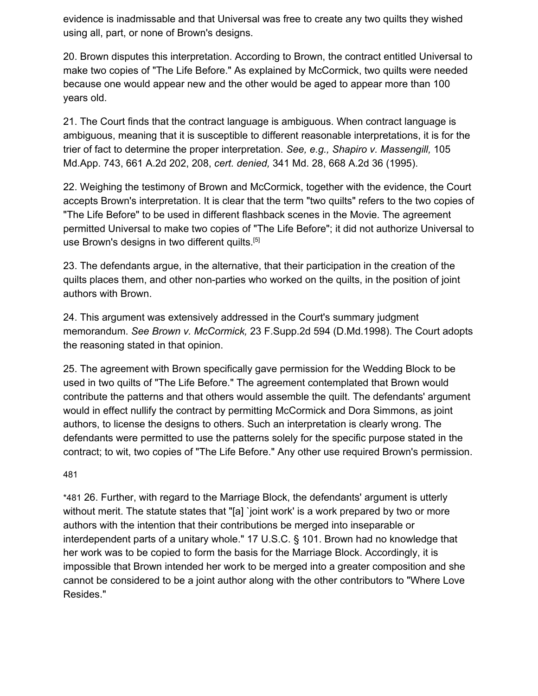evidence is inadmissable and that Universal was free to create any two quilts they wished using all, part, or none of Brown's designs.

20. Brown disputes this interpretation. According to Brown, the contract entitled Universal to make two copies of "The Life Before." As explained by McCormick, two quilts were needed because one would appear new and the other would be aged to appear more than 100 years old.

21. The Court finds that the contract language is ambiguous. When contract language is ambiguous, meaning that it is susceptible to different reasonable interpretations, it is for the trier of fact to determine the proper interpretation. *See, e.g., Shapiro v. Massengill,* 105 Md.App. 743, 661 A.2d 202, 208, *cert. denied,* 341 Md. 28, 668 A.2d 36 (1995).

22. Weighing the testimony of Brown and McCormick, together with the evidence, the Court accepts Brown's interpretation. It is clear that the term "two quilts" refers to the two copies of "The Life Before" to be used in different flashback scenes in the Movie. The agreement permitted Universal to make two copies of "The Life Before"; it did not authorize Universal to use Brown's designs in two different quilts.<sup>[5]</sup>

23. The defendants argue, in the alternative, that their participation in the creation of the quilts places them, and other non-parties who worked on the quilts, in the position of joint authors with Brown.

24. This argument was extensively addressed in the Court's summary judgment memorandum. *See Brown v. McCormick,* 23 F.Supp.2d 594 (D.Md.1998). The Court adopts the reasoning stated in that opinion.

25. The agreement with Brown specifically gave permission for the Wedding Block to be used in two quilts of "The Life Before." The agreement contemplated that Brown would contribute the patterns and that others would assemble the quilt. The defendants' argument would in effect nullify the contract by permitting McCormick and Dora Simmons, as joint authors, to license the designs to others. Such an interpretation is clearly wrong. The defendants were permitted to use the patterns solely for the specific purpose stated in the contract; to wit, two copies of "The Life Before." Any other use required Brown's permission.

48[1](https://scholar.google.com/scholar_case?case=11449338073438305495&q=amblin&hl=en&as_sdt=6,33#p481)

\*481 26. Further, with regard to the Marriage Block, the defendants' argument is utterly without merit. The statute states that "[a] `joint work' is a work prepared by two or more authors with the intention that their contributions be merged into inseparable or interdependent parts of a unitary whole." 17 U.S.C. § 101. Brown had no knowledge that her work was to be copied to form the basis for the Marriage Block. Accordingly, it is impossible that Brown intended her work to be merged into a greater composition and she cannot be considered to be a joint author along with the other contributors to "Where Love Resides."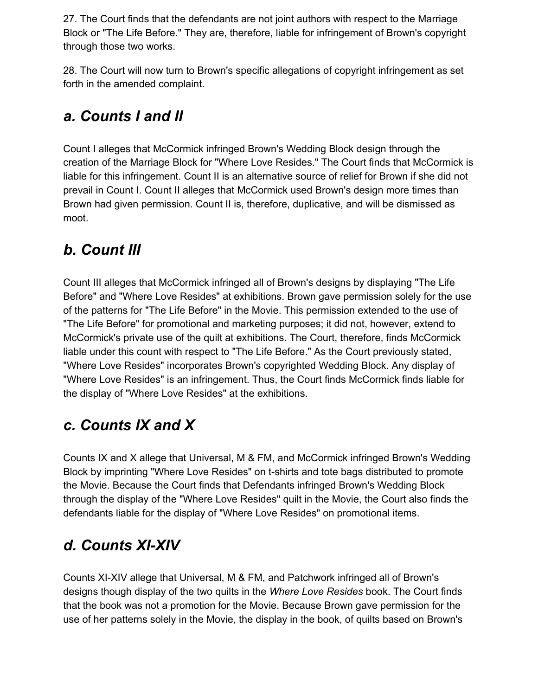27. The Court finds that the defendants are not joint authors with respect to the Marriage Block or "The Life Before." They are, therefore, liable for infringement of Brown's copyright through those two works.

28. The Court will now turn to Brown's specific allegations of copyright infringement as set forth in the amended complaint.

### *a. Counts I and II*

Count I alleges that McCormick infringed Brown's Wedding Block design through the creation of the Marriage Block for "Where Love Resides." The Court finds that McCormick is liable for this infringement. Count II is an alternative source of relief for Brown if she did not prevail in Count I. Count II alleges that McCormick used Brown's design more times than Brown had given permission. Count II is, therefore, duplicative, and will be dismissed as moot.

## *b. Count III*

Count III alleges that McCormick infringed all of Brown's designs by displaying "The Life Before" and "Where Love Resides" at exhibitions. Brown gave permission solely for the use of the patterns for "The Life Before" in the Movie. This permission extended to the use of "The Life Before" for promotional and marketing purposes; it did not, however, extend to McCormick's private use of the quilt at exhibitions. The Court, therefore, finds McCormick liable under this count with respect to "The Life Before." As the Court previously stated, "Where Love Resides" incorporates Brown's copyrighted Wedding Block. Any display of "Where Love Resides" is an infringement. Thus, the Court finds McCormick finds liable for the display of "Where Love Resides" at the exhibitions.

### *c. Counts IX and X*

Counts IX and X allege that Universal, M & FM, and McCormick infringed Brown's Wedding Block by imprinting "Where Love Resides" on t-shirts and tote bags distributed to promote the Movie. Because the Court finds that Defendants infringed Brown's Wedding Block through the display of the "Where Love Resides" quilt in the Movie, the Court also finds the defendants liable for the display of "Where Love Resides" on promotional items.

### *d. Counts XI-XIV*

Counts XI-XIV allege that Universal, M & FM, and Patchwork infringed all of Brown's designs though display of the two quilts in the *Where Love Resides* book. The Court finds that the book was not a promotion for the Movie. Because Brown gave permission for the use of her patterns solely in the Movie, the display in the book, of quilts based on Brown's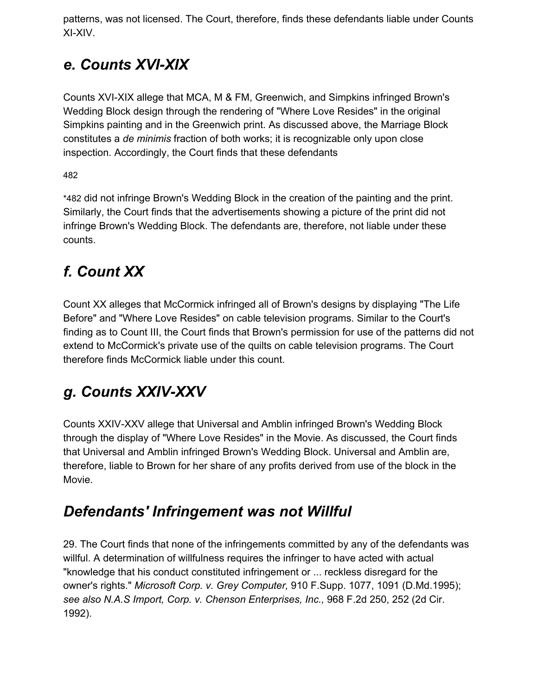patterns, was not licensed. The Court, therefore, finds these defendants liable under Counts XI-XIV.

# *e. Counts XVI-XIX*

Counts XVI-XIX allege that MCA, M & FM, Greenwich, and Simpkins infringed Brown's Wedding Block design through the rendering of "Where Love Resides" in the original Simpkins painting and in the Greenwich print. As discussed above, the Marriage Block constitutes a *de minimis* fraction of both works; it is recognizable only upon close inspection. Accordingly, the Court finds that these defendants

48[2](https://scholar.google.com/scholar_case?case=11449338073438305495&q=amblin&hl=en&as_sdt=6,33#p482)

\*482 did not infringe Brown's Wedding Block in the creation of the painting and the print. Similarly, the Court finds that the advertisements showing a picture of the print did not infringe Brown's Wedding Block. The defendants are, therefore, not liable under these counts.

# *f. Count XX*

Count XX alleges that McCormick infringed all of Brown's designs by displaying "The Life Before" and "Where Love Resides" on cable television programs. Similar to the Court's finding as to Count III, the Court finds that Brown's permission for use of the patterns did not extend to McCormick's private use of the quilts on cable television programs. The Court therefore finds McCormick liable under this count.

# *g. Counts XXIV-XXV*

Counts XXIV-XXV allege that Universal and Amblin infringed Brown's Wedding Block through the display of "Where Love Resides" in the Movie. As discussed, the Court finds that Universal and Amblin infringed Brown's Wedding Block. Universal and Amblin are, therefore, liable to Brown for her share of any profits derived from use of the block in the Movie.

# *Defendants' Infringement was not Willful*

29. The Court finds that none of the infringements committed by any of the defendants was willful. A determination of willfulness requires the infringer to have acted with actual "knowledge that his conduct constituted infringement or ... reckless disregard for the owner's rights." *Microsoft Corp. v. Grey Computer,* 910 F.Supp. 1077, 1091 (D.Md.1995); *see also N.A.S Import, Corp. v. Chenson Enterprises, Inc.,* 968 F.2d 250, 252 (2d Cir. 1992).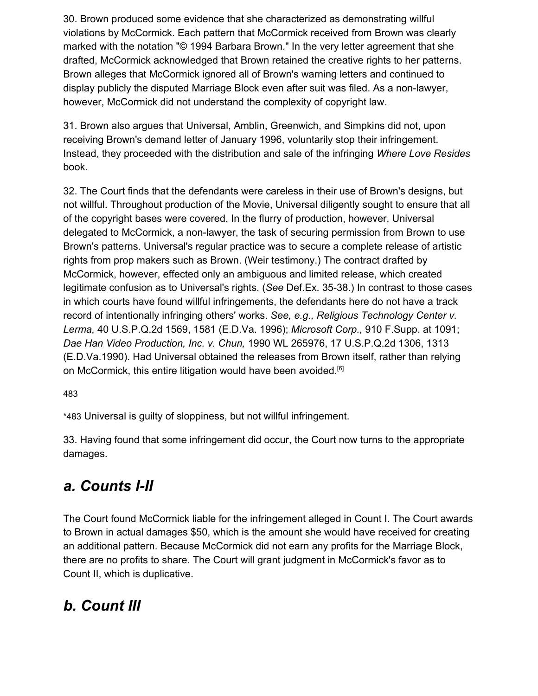30. Brown produced some evidence that she characterized as demonstrating willful violations by McCormick. Each pattern that McCormick received from Brown was clearly marked with the notation "© 1994 Barbara Brown." In the very letter agreement that she drafted, McCormick acknowledged that Brown retained the creative rights to her patterns. Brown alleges that McCormick ignored all of Brown's warning letters and continued to display publicly the disputed Marriage Block even after suit was filed. As a non-lawyer, however, McCormick did not understand the complexity of copyright law.

31. Brown also argues that Universal, Amblin, Greenwich, and Simpkins did not, upon receiving Brown's demand letter of January 1996, voluntarily stop their infringement. Instead, they proceeded with the distribution and sale of the infringing *Where Love Resides* book.

32. The Court finds that the defendants were careless in their use of Brown's designs, but not willful. Throughout production of the Movie, Universal diligently sought to ensure that all of the copyright bases were covered. In the flurry of production, however, Universal delegated to McCormick, a non-lawyer, the task of securing permission from Brown to use Brown's patterns. Universal's regular practice was to secure a complete release of artistic rights from prop makers such as Brown. (Weir testimony.) The contract drafted by McCormick, however, effected only an ambiguous and limited release, which created legitimate confusion as to Universal's rights. (*See* Def.Ex. 35-38.) In contrast to those cases in which courts have found willful infringements, the defendants here do not have a track record of intentionally infringing others' works. *See, e.g., Religious Technology Center v. Lerma,* 40 U.S.P.Q.2d 1569, 1581 (E.D.Va. 1996); *Microsoft Corp.,* 910 F.Supp. at 1091; *Dae Han Video Production, Inc. v. Chun,* 1990 WL 265976, 17 U.S.P.Q.2d 1306, 1313 (E.D.Va.1990). Had Universal obtained the releases from Brown itself, rather than relying on McCormick, this entire litigation would have been avoided.<sup>[6]</sup>

48[3](https://scholar.google.com/scholar_case?case=11449338073438305495&q=amblin&hl=en&as_sdt=6,33#p483)

\*483 Universal is guilty of sloppiness, but not willful infringement.

33. Having found that some infringement did occur, the Court now turns to the appropriate damages.

### *a. Counts I-II*

The Court found McCormick liable for the infringement alleged in Count I. The Court awards to Brown in actual damages \$50, which is the amount she would have received for creating an additional pattern. Because McCormick did not earn any profits for the Marriage Block, there are no profits to share. The Court will grant judgment in McCormick's favor as to Count II, which is duplicative.

### *b. Count III*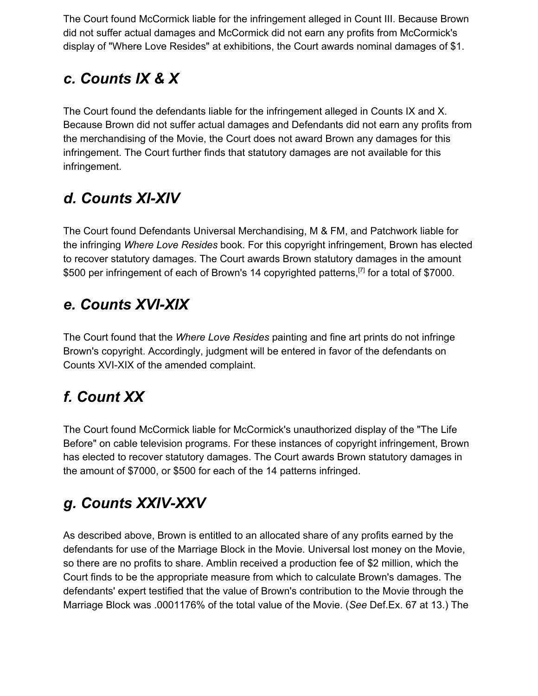The Court found McCormick liable for the infringement alleged in Count III. Because Brown did not suffer actual damages and McCormick did not earn any profits from McCormick's display of "Where Love Resides" at exhibitions, the Court awards nominal damages of \$1.

# *c. Counts IX & X*

The Court found the defendants liable for the infringement alleged in Counts IX and X. Because Brown did not suffer actual damages and Defendants did not earn any profits from the merchandising of the Movie, the Court does not award Brown any damages for this infringement. The Court further finds that statutory damages are not available for this infringement.

# *d. Counts XI-XIV*

The Court found Defendants Universal Merchandising, M & FM, and Patchwork liable for the infringing *Where Love Resides* book. For this copyright infringement, Brown has elected to recover statutory damages. The Court awards Brown statutory damages in the amount \$500 per infringement of each of Brown's 14 copyrighted patterns,<sup>[7]</sup> for a total of \$7000.

## *e. Counts XVI-XIX*

The Court found that the *Where Love Resides* painting and fine art prints do not infringe Brown's copyright. Accordingly, judgment will be entered in favor of the defendants on Counts XVI-XIX of the amended complaint.

# *f. Count XX*

The Court found McCormick liable for McCormick's unauthorized display of the "The Life Before" on cable television programs. For these instances of copyright infringement, Brown has elected to recover statutory damages. The Court awards Brown statutory damages in the amount of \$7000, or \$500 for each of the 14 patterns infringed.

# *g. Counts XXIV-XXV*

As described above, Brown is entitled to an allocated share of any profits earned by the defendants for use of the Marriage Block in the Movie. Universal lost money on the Movie, so there are no profits to share. Amblin received a production fee of \$2 million, which the Court finds to be the appropriate measure from which to calculate Brown's damages. The defendants' expert testified that the value of Brown's contribution to the Movie through the Marriage Block was .0001176% of the total value of the Movie. (*See* Def.Ex. 67 at 13.) The